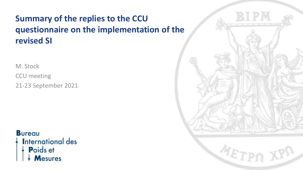# **Summary of the replies to the CCU questionnaire on the implementation of the revised SI**

M. Stock

CCU meeting 21-23 September 2021

**Bureau International des** 

- Poids et
- **Mesures**

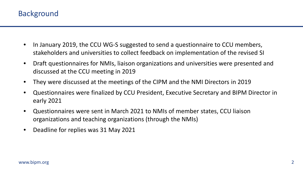- In January 2019, the CCU WG-S suggested to send a questionnaire to CCU members, stakeholders and universities to collect feedback on implementation of the revised SI
- Draft questionnaires for NMIs, liaison organizations and universities were presented and discussed at the CCU meeting in 2019
- They were discussed at the meetings of the CIPM and the NMI Directors in 2019
- Questionnaires were finalized by CCU President, Executive Secretary and BIPM Director in early 2021
- Questionnaires were sent in March 2021 to NMIs of member states, CCU liaison organizations and teaching organizations (through the NMIs)
- Deadline for replies was 31 May 2021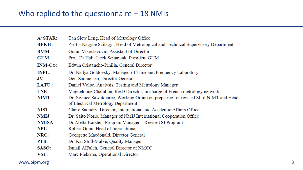| $A*STAR:$      | Tan Siew Leng, Head of Metrology Office                                             |
|----------------|-------------------------------------------------------------------------------------|
| <b>BFKH:</b>   | Zsófia Nagyné Szilágyi, Head of Metrological and Technical Supervisory Department   |
| <b>BMM:</b>    | Goran Vikoslavović, Assistant of Director                                           |
| GUM:           | Prof. Dr Hab. Jacek Semaniak, President GUM                                         |
| <b>INM-Co:</b> | Edwin Cristancho-Pinilla, General Director                                          |
| <b>INPL:</b>   | Dr. Nadya Goldovsky, Manager of Time and Frequency Laboratory                       |
| $\mathbf{JV}$  | Geir Samuelsen, Director General                                                    |
| LATU:          | Daniel Volpe, Analysis, Testing and Metrology Manager                               |
| LNE:           | Maguelonne Chambon, R&D Director, in charge of French metrology network             |
| NIMT:          | Dr. Sivinee Sawatdiaree, Working Group on preparing for revised SI of NIMT and Head |
|                | of Electrical Metrology Department                                                  |
| NIST:          | Claire Saundry, Director, International and Academic Affairs Office                 |
| NMIJ:          | Dr. Saito Norio, Manager of NMIJ International Cooperation Office                   |
| NMISA:         | Dr Aletta Karsten, Program Manager - Revised SI Program                             |
| NPL:           | Robert Gunn, Head of International                                                  |
| NRC:           | Georgette Macdonald, Director General                                               |
| PTB:           | Dr. Kai Stoll-Malke, Quality Manager                                                |
| SASO:          | Ismail AlFaleh, General Director of NMCC                                            |
| VSL:           | Marc Pieksma, Operational Director                                                  |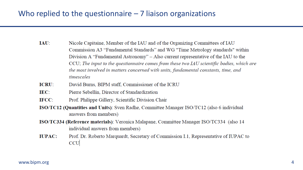- $IAU$ : Nicole Capitaine, Member of the IAU and of the Organizing Committees of IAU Commission A3 "Fundamental Standards" and WG "Time Metrology standards" within Division A "Fundamental Astronomy" - Also current representative of the IAU to the CCU; The input to the questionnaire comes from these two IAU scientific bodies, which are the most involved in matters concerned with units, fundamental constants, time, and timescales
- **ICRU:** David Burns, BIPM staff, Commissioner of the ICRU
- **IEC:** Pierre Sebellin, Director of Standardization
- IFCC: Prof. Philippe Gillery, Scientific Division Chair
- ISO/TC12 (Quantities and Units): Sven Radhe, Committee Manager ISO/TC12 (also 6 individual answers from members)
- ISO/TC334 (Reference materials): Veronica Malapane, Committee Manager ISO/TC334 (also 14 individual answers from members)
- **IUPAC:** Prof. Dr. Roberto Marquardt, Secretary of Commission I.1, Representative of IUPAC to **CCU**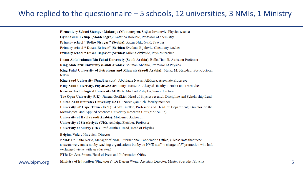### Who replied to the questionnaire  $-5$  schools, 12 universities, 3 NMIs, 1 Ministry

Elementary School Stampar Makarije (Montenegro): Srdjan Jovanovic, Physics teacher Gymnasium Cetinje (Montenegro): Katarina Boreicic, Professor of chemistry Primary school "Boško Strugar" (Serbia): Razije Nikočević, Teacher Primary school " Dusan Bojovic" (Serbia): Svetlana Bijelovic, Chemistry teacher Primary school " Dusan Bojovic" (Serbia): Milena Zivkovic, Physics teacher Imam Abdulrahman Bin Faisal University (Saudi Arabia): Ridha Hamdi, Assistant Professor King Abdelaziz University (Saudi Arabia): Soliman Abdalla, Professor of Physics King Fahd University of Petroleum and Minerals (Saudi Arabia): Mutaz M. Hamdan, Post-doctoral fellow King Saud University (Saudi Arabia): Abdulaziz Nasser AlHazaa, Associate Professor King Saud University, Physics&Astronomy: Nasser S. Alzayed, faculty member and researcher Russian Technological University MIREA: Michael Prilepko, Senior Lecturer The Open University (UK): Jimena Gorfikiel, Head of Physics research Discipline and Scholarship Lead United Arab Emirates University UAEU: Naser Qamhieh, faculty member University of Cape Town (UCT): Andy Buffler, Professor and Head of Department; Director of the Metrological and Applied Sciences University Research Unit (MeASURe) University of Ha'il (Saudi Arabia): Mohamed Aichouni University of Strathclyde (UK), Ashleigh Fletcher, Professor University of Surrey (UK), Prof. Justin I. Read, Head of Physics Belgim: Valery Hurevich, Director NMIJ: Dr. Saito Norio, Manager of NMIJ International Cooperation Office, (Please note that these answers were made not by teaching organizations but by an NMIJ staff in charge of SI promotion who had exchanged views with an educator.) PTB: Dr. Jens Simon, Head of Press and Information Office

WWW.bipm.org Ministry of Education (Singapore): Dr Darren Wong, Assistant Director, Master Specialist/Physics 5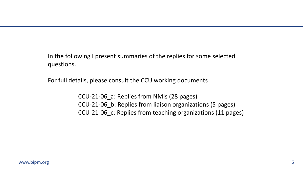In the following I present summaries of the replies for some selected questions.

For full details, please consult the CCU working documents

CCU-21-06\_a: Replies from NMIs (28 pages) CCU-21-06\_b: Replies from liaison organizations (5 pages) CCU-21-06\_c: Replies from teaching organizations (11 pages)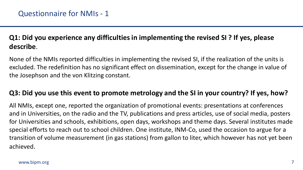# **Q1: Did you experience any difficulties in implementing the revised SI ? If yes, please describe**.

None of the NMIs reported difficulties in implementing the revised SI, if the realization of the units is excluded. The redefinition has no significant effect on dissemination, except for the change in value of the Josephson and the von Klitzing constant.

### **Q3: Did you use this event to promote metrology and the SI in your country? If yes, how?**

All NMIs, except one, reported the organization of promotional events: presentations at conferences and in Universities, on the radio and the TV, publications and press articles, use of social media, posters for Universities and schools, exhibitions, open days, workshops and theme days. Several institutes made special efforts to reach out to school children. One institute, INM-Co, used the occasion to argue for a transition of volume measurement (in gas stations) from gallon to liter, which however has not yet been achieved.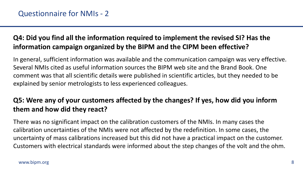# **Q4: Did you find all the information required to implement the revised SI? Has the information campaign organized by the BIPM and the CIPM been effective?**

In general, sufficient information was available and the communication campaign was very effective. Several NMIs cited as useful information sources the BIPM web site and the Brand Book. One comment was that all scientific details were published in scientific articles, but they needed to be explained by senior metrologists to less experienced colleagues.

# **Q5: Were any of your customers affected by the changes? If yes, how did you inform them and how did they react?**

There was no significant impact on the calibration customers of the NMIs. In many cases the calibration uncertainties of the NMIs were not affected by the redefinition. In some cases, the uncertainty of mass calibrations increased but this did not have a practical impact on the customer. Customers with electrical standards were informed about the step changes of the volt and the ohm.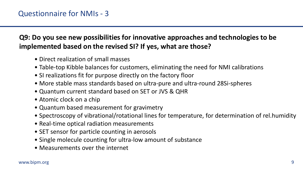**Q9: Do you see new possibilities for innovative approaches and technologies to be implemented based on the revised SI? If yes, what are those?** 

- Direct realization of small masses
- Table-top Kibble balances for customers, eliminating the need for NMI calibrations
- SI realizations fit for purpose directly on the factory floor
- More stable mass standards based on ultra-pure and ultra-round 28Si-spheres
- Quantum current standard based on SET or JVS & QHR
- Atomic clock on a chip
- Quantum based measurement for gravimetry
- Spectroscopy of vibrational/rotational lines for temperature, for determination of rel.humidity
- Real-time optical radiation measurements
- SET sensor for particle counting in aerosols
- Single molecule counting for ultra-low amount of substance
- Measurements over the internet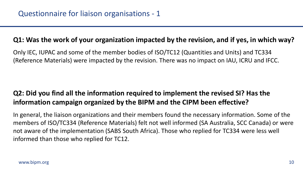#### **Q1: Was the work of your organization impacted by the revision, and if yes, in which way?**

Only IEC, IUPAC and some of the member bodies of ISO/TC12 (Quantities and Units) and TC334 (Reference Materials) were impacted by the revision. There was no impact on IAU, ICRU and IFCC.

# **Q2: Did you find all the information required to implement the revised SI? Has the information campaign organized by the BIPM and the CIPM been effective?**

In general, the liaison organizations and their members found the necessary information. Some of the members of ISO/TC334 (Reference Materials) felt not well informed (SA Australia, SCC Canada) or were not aware of the implementation (SABS South Africa). Those who replied for TC334 were less well informed than those who replied for TC12.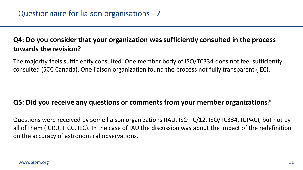# **Q4: Do you consider that your organization was sufficiently consulted in the process towards the revision?**

The majority feels sufficiently consulted. One member body of ISO/TC334 does not feel sufficiently consulted (SCC Canada). One liaison organization found the process not fully transparent (IEC).

### **Q5: Did you receive any questions or comments from your member organizations?**

Questions were received by some liaison organizations (IAU, ISO TC/12, ISO/TC334, IUPAC), but not by all of them (ICRU, IFCC, IEC). In the case of IAU the discussion was about the impact of the redefinition on the accuracy of astronomical observations.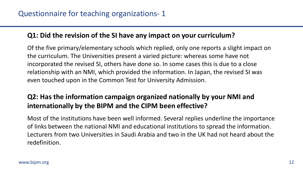#### **Q1: Did the revision of the SI have any impact on your curriculum?**

Of the five primary/elementary schools which replied, only one reports a slight impact on the curriculum. The Universities present a varied picture: whereas some have not incorporated the revised SI, others have done so. In some cases this is due to a close relationship with an NMI, which provided the information. In Japan, the revised SI was even touched upon in the Common Test for University Admission.

# **Q2: Has the information campaign organized nationally by your NMI and internationally by the BIPM and the CIPM been effective?**

Most of the institutions have been well informed. Several replies underline the importance of links between the national NMI and educational institutions to spread the information. Lecturers from two Universities in Saudi Arabia and two in the UK had not heard about the redefinition.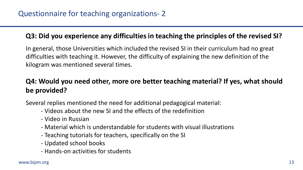### **Q3: Did you experience any difficulties in teaching the principles of the revised SI?**

In general, those Universities which included the revised SI in their curriculum had no great difficulties with teaching it. However, the difficulty of explaining the new definition of the kilogram was mentioned several times.

# **Q4: Would you need other, more ore better teaching material? If yes, what should be provided?**

Several replies mentioned the need for additional pedagogical material:

- Videos about the new SI and the effects of the redefinition
- Video in Russian
- Material which is understandable for students with visual illustrations
- Teaching tutorials for teachers, specifically on the SI
- Updated school books
- Hands-on activities for students